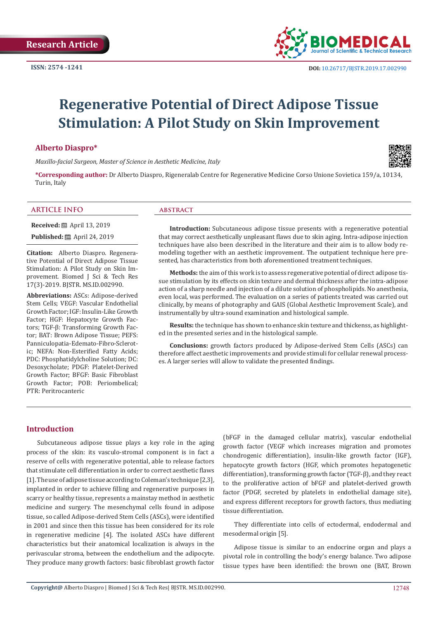

# **Regenerative Potential of Direct Adipose Tissue Stimulation: A Pilot Study on Skin Improvement**

#### **Alberto Diaspro\***

*Maxillo-facial Surgeon, Master of Science in Aesthetic Medicine, Italy*



**\*Corresponding author:** Dr Alberto Diaspro, Rigeneralab Centre for Regenerative Medicine Corso Unione Sovietica 159/a, 10134, Turin, Italy

#### **ARTICLE INFO abstract**

**Received:** ■ April 13, 2019

**Published:** ■ April 24, 2019

**Citation:** Alberto Diaspro. Regenerative Potential of Direct Adipose Tissue Stimulation: A Pilot Study on Skin Improvement. Biomed J Sci & Tech Res 17(3)-2019. BJSTR. MS.ID.002990.

**Abbreviations:** ASCs: Adipose-derived Stem Cells; VEGF: Vascular Endothelial Growth Factor; IGF: Insulin-Like Growth Factor; HGF: Hepatocyte Growth Factors; TGF-β: Transforming Growth Factor; BAT: Brown Adipose Tissue; PEFS: Panniculopatia-Edemato-Fibro-Sclerotic; NEFA: Non-Esterified Fatty Acids; PDC: Phosphatidylcholine Solution; DC: Desoxycholate; PDGF: Platelet-Derived Growth Factor; BFGF: Basic Fibroblast Growth Factor; POB: Periombelical; PTR: Peritrocanteric

**Introduction:** Subcutaneous adipose tissue presents with a regenerative potential that may correct aesthetically unpleasant flaws due to skin aging. Intra-adipose injection techniques have also been described in the literature and their aim is to allow body remodeling together with an aesthetic improvement. The outpatient technique here presented, has characteristics from both aforementioned treatment techniques.

**Methods:** the aim of this work is to assess regenerative potential of direct adipose tissue stimulation by its effects on skin texture and dermal thickness after the intra-adipose action of a sharp needle and injection of a dilute solution of phospholipids. No anesthesia, even local, was performed. The evaluation on a series of patients treated was carried out clinically, by means of photography and GAIS (Global Aesthetic Improvement Scale), and instrumentally by ultra-sound examination and histological sample.

**Results:** the technique has shown to enhance skin texture and thickenss, as highlighted in the presented series and in the histological sample.

**Conclusions:** growth factors produced by Adipose-derived Stem Cells (ASCs) can therefore affect aesthetic improvements and provide stimuli for cellular renewal processes. A larger series will allow to validate the presented findings.

## **Introduction**

Subcutaneous adipose tissue plays a key role in the aging process of the skin: its vasculo-stromal component is in fact a reserve of cells with regenerative potential, able to release factors that stimulate cell differentiation in order to correct aesthetic flaws [1]. The use of adipose tissue according to Coleman's technique [2,3], implanted in order to achieve filling and regenerative purposes in scarry or healthy tissue, represents a mainstay method in aesthetic medicine and surgery. The mesenchymal cells found in adipose tissue, so called Adipose-derived Stem Cells (ASCs), were identified in 2001 and since then this tissue has been considered for its role in regenerative medicine [4]. The isolated ASCs have different characteristics but their anatomical localization is always in the perivascular stroma, between the endothelium and the adipocyte. They produce many growth factors: basic fibroblast growth factor

(bFGF in the damaged cellular matrix), vascular endothelial growth factor (VEGF which increases migration and promotes chondrogenic differentiation), insulin-like growth factor (IGF), hepatocyte growth factors (HGF, which promotes hepatogenetic differentiation), transforming growth factor (TGF-β), and they react to the proliferative action of bFGF and platelet-derived growth factor (PDGF, secreted by platelets in endothelial damage site), and express different receptors for growth factors, thus mediating tissue differentiation.

They differentiate into cells of ectodermal, endodermal and mesodermal origin [5].

Adipose tissue is similar to an endocrine organ and plays a pivotal role in controlling the body's energy balance. Two adipose tissue types have been identified: the brown one (BAT, Brown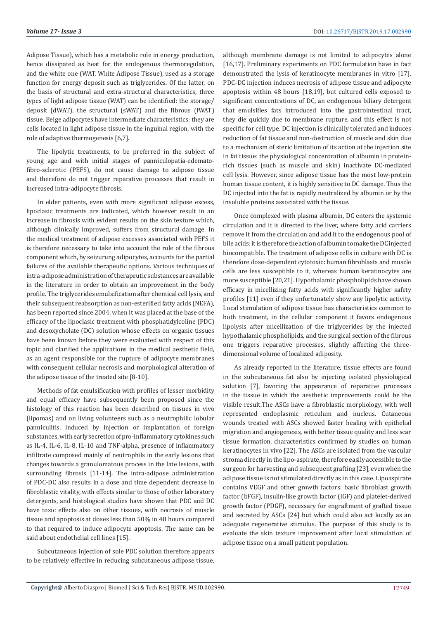Adipose Tissue), which has a metabolic role in energy production, hence dissipated as heat for the endogenous thermoregulation, and the white one (WAT, White Adipose Tissue), used as a storage function for energy deposit such as triglycerides. Of the latter, on the basis of structural and extra-structural characteristics, three types of light adipose tissue (WAT) can be identified: the storage/ deposit (dWAT), the structural (sWAT) and the fibrous (fWAT) tissue. Beige adipocytes have intermediate characteristics: they are cells located in light adipose tissue in the inguinal region, with the role of adaptive thermogenesis [6,7].

The lipolytic treatments, to be preferred in the subject of young age and with initial stages of panniculopatia-edematofibro-sclerotic (PEFS), do not cause damage to adipose tissue and therefore do not trigger reparative processes that result in increased intra-adipocyte fibrosis.

In elder patients, even with more significant adipose excess, lipoclasic treatments are indicated, which however result in an increase in fibrosis with evident results on the skin texture which, although clinically improved, suffers from structural damage. In the medical treatment of adipose excesses associated with PEFS it is therefore necessary to take into account the role of the fibrous component which, by seizurung adipocytes, accounts for the partial failures of the available therapeutic options. Various techniques of intra-adipose administration of therapeutic substances are available in the literature in order to obtain an improvement in the body profile. The triglycerides emulsification after chemical cell lysis, and their subsequent reabsorption as non-esterified fatty acids (NEFA), has been reported since 2004, when it was placed at the base of the efficacy of the lipoclasic treatment with phosphatidylcoline (PDC) and desoxycholate (DC) solution whose effects on organic tissues have been known before they were evaluated with respect of this topic and clarified the applications in the medical aesthetic field, as an agent responsible for the rupture of adipocyte membranes with consequent cellular necrosis and morphological alteration of the adipose tissue of the treated site [8-10].

Methods of fat emulsification with profiles of lesser morbidity and equal efficacy have subsequently been proposed since the histology of this reaction has been described on tissues in vivo (lipomas) and on living volunteers such as a neutrophilic lobular panniculitis, induced by injection or implantation of foreign substances, with early secretion of pro-inflammatory cytokines such as IL-4, IL-6, IL-8, IL-10 and TNF-alpha, presence of inflammatory infiltrate composed mainly of neutrophils in the early lesions that changes towards a granulomatous process in the late lesions, with surrounding fibrosis [11-14]. The intra-adipose administration of PDC-DC also results in a dose and time dependent decrease in fibroblastic vitality, with effects similar to those of other laboratory detergents, and histological studies have shown that PDC and DC have toxic effects also on other tissues, with necrosis of muscle tissue and apoptosis at doses less than 50% in 48 hours compared to that required to induce adipocyte apoptosis. The same can be said about endothelial cell lines [15].

Subcutaneous injection of sole PDC solution therefore appears to be relatively effective in reducing subcutaneous adipose tissue, although membrane damage is not limited to adipocytes alone [16,17]. Preliminary experiments on PDC formulation have in fact demonstrated the lysis of keratinocyte membranes in vitro [17]. PDC-DC injection induces necrosis of adipose tissue and adipocyte apoptosis within 48 hours [18,19], but cultured cells exposed to significant concentrations of DC, an endogenous biliary detergent that emulsifies fats introduced into the gastrointestinal tract, they die quickly due to membrane rupture, and this effect is not specific for cell type. DC injection is clinically tolerated and induces reduction of fat tissue and non-destruction of muscle and skin due to a mechanism of steric limitation of its action at the injection site in fat tissue: the physiological concentration of albumin in proteinrich tissues (such as muscle and skin) inactivate DC-mediated cell lysis. However, since adipose tissue has the most low-protein human tissue content, it is highly sensitive to DC damage. Thus the DC injected into the fat is rapidly neutralized by albumin or by the insoluble proteins associated with the tissue.

Once complexed with plasma albumin, DC enters the systemic circulation and it is directed to the liver, where fatty acid carriers remove it from the circulation and add it to the endogenous pool of bile acids: it is therefore the action of albumin to make the DC injected biocompatible. The treatment of adipose cells in culture with DC is therefore dose-dependent cytotoxic: human fibroblasts and muscle cells are less susceptible to it, whereas human keratinocytes are more susceptible [20,21]. Hypothalamic phospholipids have shown efficacy in micellizing fatty acids with significantly higher safety profiles [11] even if they unfortunately show any lipolytic activity. Local stimulation of adipose tissue has characteristics common to both treatment, in the cellular component it favors endogenous lipolysis after micellization of the triglycerides by the injected hypothalamic phospholipids, and the surgical section of the fibrous one triggers reparative processes, slightly affecting the threedimensional volume of localized adiposity.

As already reported in the literature, tissue effects are found in the subcutaneous fat also by injecting isolated physiological solution [7], favoring the appearance of reparative processes in the tissue in which the aesthetic improvements could be the visible result.The ASCs have a fibroblastic morphology, with well represented endoplasmic reticulum and nucleus. Cutaneous wounds treated with ASCs showed faster healing with epithelial migration and angiogenesis, with better tissue quality and less scar tissue formation, characteristics confirmed by studies on human keratinocytes in vivo [22]. The ASCs are isolated from the vascular stroma directly in the lipo-aspirate, therefore easily accessible to the surgeon for harvesting and subsequent grafting [23], even when the adipose tissue is not stimulated directly as in this case. Lipoaspirate contains VEGF and other growth factors: basic fibroblast growth factor (bFGF), insulin-like growth factor (IGF) and platelet-derived growth factor (PDGF), necessary for engraftment of grafted tissue and secreted by ASCs [24] but which could also act locally as an adequate regenerative stimulus. The purpose of this study is to evaluate the skin texture improvement after local stimulation of adipose tissue on a small patient population.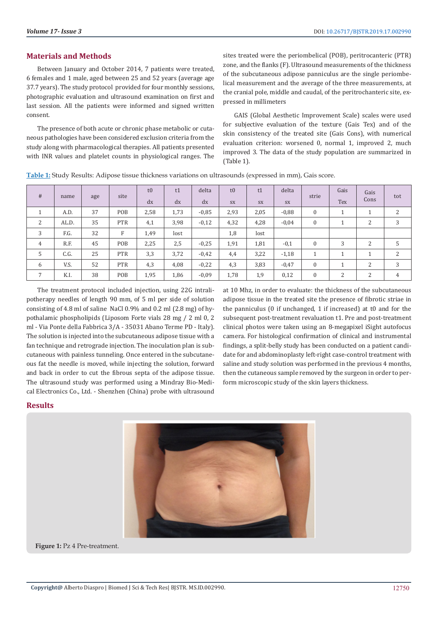## **Materials and Methods**

Between January and October 2014, 7 patients were treated, 6 females and 1 male, aged between 25 and 52 years (average age 37.7 years). The study protocol provided for four monthly sessions, photographic evaluation and ultrasound examination on first and last session. All the patients were informed and signed written consent.

The presence of both acute or chronic phase metabolic or cutaneous pathologies have been considered exclusion criteria from the study along with pharmacological therapies. All patients presented with INR values and platelet counts in physiological ranges. The sites treated were the periombelical (POB), peritrocanteric (PTR) zone, and the flanks (F). Ultrasound measurements of the thickness of the subcutaneous adipose panniculus are the single periombelical measurement and the average of the three measurements, at the cranial pole, middle and caudal, of the peritrochanteric site, expressed in millimeters

GAIS (Global Aesthetic Improvement Scale) scales were used for subjective evaluation of the texture (Gais Tex) and of the skin consistency of the treated site (Gais Cons), with numerical evaluation criterion: worsened 0, normal 1, improved 2, much improved 3. The data of the study population are summarized in (Table 1).

| #              | name  | age | site        | t0   | t1   | delta   | t0   | t1        | delta   | strie        | Gais | Gais           | tot |
|----------------|-------|-----|-------------|------|------|---------|------|-----------|---------|--------------|------|----------------|-----|
|                |       |     |             | dx   | dx   | dx      | SX   | <b>SX</b> | SX      |              | Tex  | Cons           |     |
|                | A.D.  | 37  | POB         | 2,58 | 1,73 | $-0.85$ | 2,93 | 2,05      | $-0.88$ | $\mathbf{0}$ |      |                | 2   |
| 2              | AL.D. | 35  | <b>PTR</b>  | 4,1  | 3,98 | $-0,12$ | 4,32 | 4,28      | $-0.04$ | $\mathbf{0}$ |      | 2              | 3   |
| 3              | F.G.  | 32  | $\mathbf F$ | 1,49 | lost |         | 1,8  | lost      |         |              |      |                |     |
| 4              | R.F.  | 45  | POB         | 2,25 | 2,5  | $-0.25$ | 1,91 | 1,81      | $-0,1$  | $\Omega$     | 3    | $\overline{c}$ | 5   |
| 5              | C.G.  | 25  | <b>PTR</b>  | 3,3  | 3,72 | $-0.42$ | 4,4  | 3,22      | $-1,18$ |              | и    | и              | 2   |
| 6              | V.S.  | 52  | <b>PTR</b>  | 4,3  | 4,08 | $-0,22$ | 4,3  | 3,83      | $-0.47$ | $\mathbf{0}$ |      | $\overline{c}$ | 3   |
| $\overline{7}$ | K.I.  | 38  | POB         | 1,95 | 1,86 | $-0.09$ | 1,78 | 1,9       | 0,12    | $\mathbf{0}$ | 2    | $\overline{c}$ | 4   |

**Table 1:** Study Results: Adipose tissue thickness variations on ultrasounds (expressed in mm), Gais score.

The treatment protocol included injection, using 22G intralipotherapy needles of length 90 mm, of 5 ml per side of solution consisting of 4.8 ml of saline NaCl 0.9% and 0.2 ml (2.8 mg) of hypothalamic phospholipids (Liposom Forte vials 28 mg / 2 ml 0, 2 ml - Via Ponte della Fabbrica 3/A - 35031 Abano Terme PD - Italy). The solution is injected into the subcutaneous adipose tissue with a fan technique and retrograde injection. The inoculation plan is subcutaneous with painless tunneling. Once entered in the subcutaneous fat the needle is moved, while injecting the solution, forward and back in order to cut the fibrous septa of the adipose tissue. The ultrasound study was performed using a Mindray Bio-Medical Electronics Co., Ltd. - Shenzhen (China) probe with ultrasound

at 10 Mhz, in order to evaluate: the thickness of the subcutaneous adipose tissue in the treated site the presence of fibrotic striae in the panniculus (0 if unchanged, 1 if increased) at t0 and for the subsequent post-treatment revaluation t1. Pre and post-treatment clinical photos were taken using an 8-megapixel iSight autofocus camera. For histological confirmation of clinical and instrumental findings, a split-belly study has been conducted on a patient candidate for and abdominoplasty left-right case-control treatment with saline and study solution was performed in the previous 4 months, then the cutaneous sample removed by the surgeon in order to perform microscopic study of the skin layers thickness.

#### **Results**



**Figure 1:** Pz 4 Pre-treatment.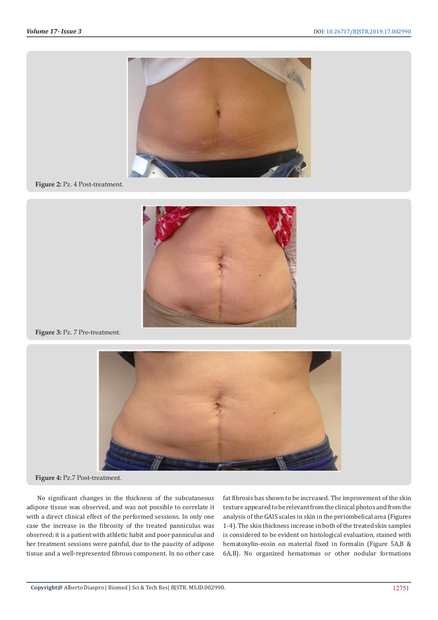

#### **Figure 2:** Pz. 4 Post-treatment.



**Figure 3:** Pz. 7 Pre-treatment.



**Figure 4:** Pz.7 Post-treatment.

No significant changes in the thickness of the subcutaneous adipose tissue was observed, and was not possible to correlate it with a direct clinical effect of the performed sessions. In only one case the increase in the fibrosity of the treated panniculus was observed: it is a patient with athletic habit and poor panniculus and her treatment sessions were painful, due to the paucity of adipose tissue and a well-represented fibrous component. In no other case

fat fibrosis has shown to be increased. The improvement of the skin texture appeared to be relevant from the clinical photos and from the analysis of the GAIS scales in skin in the periombelical area (Figures 1-4). The skin thickness increase in both of the treated skin samples is considered to be evident on histological evaluation, stained with hematoxylin-eosin on material fixed in formalin (Figure 5A,B & 6A,B). No organized hematomas or other nodular formations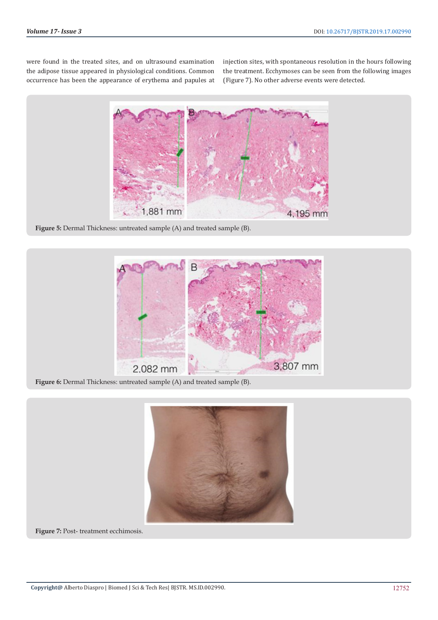were found in the treated sites, and on ultrasound examination the adipose tissue appeared in physiological conditions. Common occurrence has been the appearance of erythema and papules at injection sites, with spontaneous resolution in the hours following the treatment. Ecchymoses can be seen from the following images (Figure 7). No other adverse events were detected.



**Figure 5:** Dermal Thickness: untreated sample (A) and treated sample (B).



**Figure 6:** Dermal Thickness: untreated sample (A) and treated sample (B).



**Figure 7:** Post- treatment ecchimosis.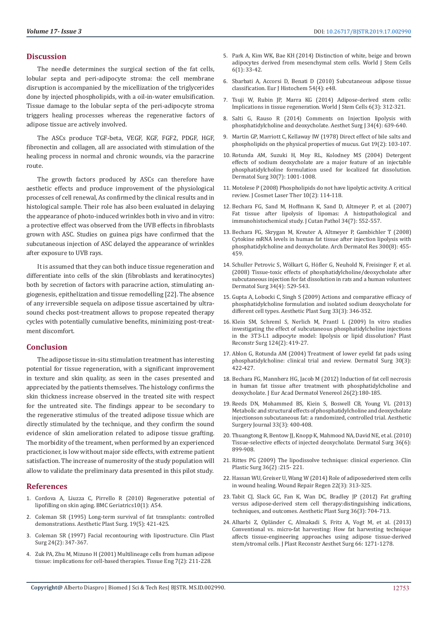### **Discussion**

The needle determines the surgical section of the fat cells, lobular septa and peri-adipocyte stroma: the cell membrane disruption is accompanied by the micellization of the triglycerides done by injected phospholipids, with a oil-in-water emulsification. Tissue damage to the lobular septa of the peri-adipocyte stroma triggers healing processes whereas the regenerative factors of adipose tissue are actively involved.

The ASCs produce TGF-beta, VEGF, KGF, FGF2, PDGF, HGF, fibronectin and collagen, all are associated with stimulation of the healing process in normal and chronic wounds, via the paracrine route.

The growth factors produced by ASCs can therefore have aesthetic effects and produce improvement of the physiological processes of cell renewal, As confirmed by the clinical results and in histological sample. Their role has also been evaluated in delaying the appearance of photo-induced wrinkles both in vivo and in vitro: a protective effect was observed from the UVB effects in fibroblasts grown with ASC. Studies on guinea pigs have confirmed that the subcutaneous injection of ASC delayed the appearance of wrinkles after exposure to UVB rays.

It is assumed that they can both induce tissue regeneration and differentiate into cells of the skin (fibroblasts and keratinocytes) both by secretion of factors with paracrine action, stimulating angiogenesis, epithelization and tissue remodelling [22]. The absence of any irreversible sequela on adipose tissue ascertained by ultrasound checks post-treatment allows to propose repeated therapy cycles with potentially cumulative benefits, minimizing post-treatment discomfort.

#### **Conclusion**

The adipose tissue in-situ stimulation treatment has interesting potential for tissue regeneration, with a significant improvement in texture and skin quality, as seen in the cases presented and appreciated by the patients themselves. The histology confirms the skin thickness increase observed in the treated site with respect for the untreated site. The findings appear to be secondary to the regenerative stimulus of the treated adipose tissue which are directly stimulated by the technique, and they confirm the sound evidence of skin amelioration related to adipose tissue grafting. The morbidity of the treament, when performed by an experienced practicioner, is low without major side effects, with extreme patient satisfaction. The increase of numerosity of the study population will allow to validate the preliminary data presented in this pilot study.

### **References**

- 1. [Cordova A, Liuzza C, Pirrello R \(2010\) Regenerative potential of](https://bmcgeriatr.biomedcentral.com/articles/10.1186/1471-2318-10-S1-A54)  [lipofilling on skin aging. BMC Geriatrics10\(1\): A54.](https://bmcgeriatr.biomedcentral.com/articles/10.1186/1471-2318-10-S1-A54)
- 2. [Coleman SR \(1995\) Long-term survival of fat transplants: controlled](https://www.ncbi.nlm.nih.gov/pubmed/8526158)  [demonstrations. Aesthetic Plast Surg. 19\(5\): 421-425.](https://www.ncbi.nlm.nih.gov/pubmed/8526158)
- 3. [Coleman SR \(1997\) Facial recontouring with lipostructure. Clin Plast](https://www.ncbi.nlm.nih.gov/pubmed/9142473)  [Surg 24\(2\): 347-367.](https://www.ncbi.nlm.nih.gov/pubmed/9142473)
- 4. [Zuk PA, Zhu M, Mizuno H \(2001\) Multilineage cells from human adipose](https://www.ncbi.nlm.nih.gov/pubmed/11304456)  [tissue: implications for cell-based therapies. Tissue Eng 7\(2\): 211-228.](https://www.ncbi.nlm.nih.gov/pubmed/11304456)
- 5. [Park A, Kim WK, Bae KH \(2014\) Distinction of white, beige and brown](https://www.ncbi.nlm.nih.gov/pubmed/24567786) [adipocytes derived from mesenchymal stem cells. World J Stem Cells](https://www.ncbi.nlm.nih.gov/pubmed/24567786) [6\(1\): 33-42.](https://www.ncbi.nlm.nih.gov/pubmed/24567786)
- 6. [Sbarbati A, Accorsi D, Benati D \(2010\) Subcutaneous adipose tissue](https://www.ncbi.nlm.nih.gov/pubmed/21263747) [classification. Eur J Histochem 54\(4\): e48.](https://www.ncbi.nlm.nih.gov/pubmed/21263747)
- 7. [Tsuji W, Rubin JP, Marra KG \(2014\) Adipose-derived stem cells:](https://www.ncbi.nlm.nih.gov/pmc/articles/PMC4131273/) [Implications in tissue regeneration. World J Stem Cells 6\(3\): 312-321.](https://www.ncbi.nlm.nih.gov/pmc/articles/PMC4131273/)
- 8. [Salti G, Rauso R \(2014\) Comments on Injection lipolysis with](https://www.ncbi.nlm.nih.gov/pubmed/24687264) [phosphatidylcholine and deoxycholate. Aesthet Surg J 34\(4\): 639-640.](https://www.ncbi.nlm.nih.gov/pubmed/24687264)
- 9. [Martin GP, Marriott C, Kellaway IW \(1978\) Direct effect of bile salts and](https://www.ncbi.nlm.nih.gov/pubmed/631625) [phospholipids on the physical properties of mucus. Gut 19\(2\): 103-107.](https://www.ncbi.nlm.nih.gov/pubmed/631625)
- 10. [Rotunda AM, Suzuki H, Moy RL, Kolodney MS \(2004\) Detergent](https://www.ncbi.nlm.nih.gov/pubmed/15209790) [effects of sodium deoxycholate are a major feature of an injectable](https://www.ncbi.nlm.nih.gov/pubmed/15209790) [phosphatidylcholine formulation used for localized fat dissolution.](https://www.ncbi.nlm.nih.gov/pubmed/15209790) [Dermatol Surg 30\(7\): 1001-1008.](https://www.ncbi.nlm.nih.gov/pubmed/15209790)
- 11. [Motolese P \(2008\) Phospholipids do not have lipolytic activity. A critical](https://www.ncbi.nlm.nih.gov/pubmed/18569265) [review. J Cosmet Laser Ther 10\(2\): 114-118.](https://www.ncbi.nlm.nih.gov/pubmed/18569265)
- 12. [Bechara FG, Sand M, Hoffmann K, Sand D, Altmeyer P, et al. \(2007\)](https://www.ncbi.nlm.nih.gov/pubmed/17576334) [Fat tissue after lipolysis of lipomas: A histopathological and](https://www.ncbi.nlm.nih.gov/pubmed/17576334) [immunohistochemical study. J Cutan Pathol 34\(7\): 552-557.](https://www.ncbi.nlm.nih.gov/pubmed/17576334)
- 13. [Bechara FG, Skrygan M, Kreuter A, Altmeyer P, Gambichler T \(2008\)](https://www.ncbi.nlm.nih.gov/pubmed/18563422) [Cytokine mRNA levels in human fat tissue after injection lipolysis with](https://www.ncbi.nlm.nih.gov/pubmed/18563422) [phosphatidylcholine and deoxycholate. Arch Dermatol Res 300\(8\): 455-](https://www.ncbi.nlm.nih.gov/pubmed/18563422) [459.](https://www.ncbi.nlm.nih.gov/pubmed/18563422)
- 14. [Schuller Petrovic S, Wölkart G, Höfler G, Neuhold N, Freisinger F, et al.](https://www.ncbi.nlm.nih.gov/pubmed/18370980) [\(2008\) Tissue-toxic effects of phosphatidylcholine/deoxycholate after](https://www.ncbi.nlm.nih.gov/pubmed/18370980) [subcutaneous injection for fat dissolution in rats and a human volunteer.](https://www.ncbi.nlm.nih.gov/pubmed/18370980) [Dermatol Surg 34\(4\): 529-543.](https://www.ncbi.nlm.nih.gov/pubmed/18370980)
- 15. [Gupta A, Lobocki C, Singh S \(2009\) Actions and comparative efficacy of](https://www.ncbi.nlm.nih.gov/pubmed/19198927) [phosphatidylcholine formulation and isolated sodium deoxycholate for](https://www.ncbi.nlm.nih.gov/pubmed/19198927) [different cell types. Aesthetic Plast Surg 33\(3\): 346-352.](https://www.ncbi.nlm.nih.gov/pubmed/19198927)
- 16. [Klein SM, Schreml S, Nerlich M, Prantl L \(2009\) In vitro studies](https://www.ncbi.nlm.nih.gov/pubmed/19644256) [investigating the effect of subcutaneous phosphatidylcholine injections](https://www.ncbi.nlm.nih.gov/pubmed/19644256) [in the 3T3-L1 adipocyte model: lipolysis or lipid dissolution? Plast](https://www.ncbi.nlm.nih.gov/pubmed/19644256) [Reconstr Surg 124\(2\): 419-27.](https://www.ncbi.nlm.nih.gov/pubmed/19644256)
- 17. [Ablon G, Rotunda AM \(2004\) Treatment of lower eyelid fat pads using](https://www.ncbi.nlm.nih.gov/pubmed/15008874) [phosphatidylcholine: clinical trial and review. Dermatol Surg 30\(3\):](https://www.ncbi.nlm.nih.gov/pubmed/15008874) [422-427.](https://www.ncbi.nlm.nih.gov/pubmed/15008874)
- 18. [Bechara FG, Mannherz HG, Jacob M \(2012\) Induction of fat cell necrosis](https://www.ncbi.nlm.nih.gov/pubmed/22280507) [in human fat tissue after treatment with phosphatidylcholine and](https://www.ncbi.nlm.nih.gov/pubmed/22280507) [deoxycholate. J Eur Acad Dermatol Venereol 26\(2\):180-185.](https://www.ncbi.nlm.nih.gov/pubmed/22280507)
- 19. [Reeds DN, Mohammed BS, Kiein S, Boswell CB, Young VL \(2013\)](https://www.ncbi.nlm.nih.gov/pubmed/23439063) [Metabolic and structural effects of phosphatidylcholine and deoxycholate](https://www.ncbi.nlm.nih.gov/pubmed/23439063) [injectionson subcutaneous fat: a randomized, controlled trial. Aesthetic](https://www.ncbi.nlm.nih.gov/pubmed/23439063) [Surgery Journal 33\(3\): 400-408.](https://www.ncbi.nlm.nih.gov/pubmed/23439063)
- 20. [Thuangtong R, Bentow JJ, Knopp K, Mahmood NA, David NE, et al. \(2010\)](https://www.ncbi.nlm.nih.gov/pubmed/20482723) [Tissue-selective effects of injected deoxycholate. Dermatol Surg 36\(6\):](https://www.ncbi.nlm.nih.gov/pubmed/20482723) [899-908.](https://www.ncbi.nlm.nih.gov/pubmed/20482723)
- 21. [Rittes PG \(2009\) The lipodissolve technique: clinical experience. Clin](https://www.ncbi.nlm.nih.gov/pubmed/19309645) [Plastic Surg 36\(2\) :215- 221.](https://www.ncbi.nlm.nih.gov/pubmed/19309645)
- 22. [Hassan WU, Greiser U, Wang W \(2014\) Role of adiposederived stem cells](https://www.ncbi.nlm.nih.gov/pubmed/24844331.) [in wound healing. Wound Repair Regen 22\(3\): 313-325.](https://www.ncbi.nlm.nih.gov/pubmed/24844331.)
- 23. [Tabit CJ, Slack GC, Fan K, Wan DC, Bradley JP \(2012\) Fat grafting](https://www.ncbi.nlm.nih.gov/pubmed/22069062) [versus adipose-derived stem cell therapy:distinguishing indications,](https://www.ncbi.nlm.nih.gov/pubmed/22069062) [techniques, and outcomes. Aesthetic Plast Surg 36\(3\): 704-713.](https://www.ncbi.nlm.nih.gov/pubmed/22069062)
- 24. [Alharbi Z, Opländer C, Almakadi S, Fritz A, Vogt M, et al. \(2013\)](https://www.ncbi.nlm.nih.gov/pubmed/23732072) [Conventional vs. micro-fat harvesting: How fat harvesting technique](https://www.ncbi.nlm.nih.gov/pubmed/23732072) [affects tissue-engineering approaches using adipose tissue-derived](https://www.ncbi.nlm.nih.gov/pubmed/23732072) [stem/stromal cells. J Plast Reconstr Aesthet Surg 66: 1271-1278.](https://www.ncbi.nlm.nih.gov/pubmed/23732072)